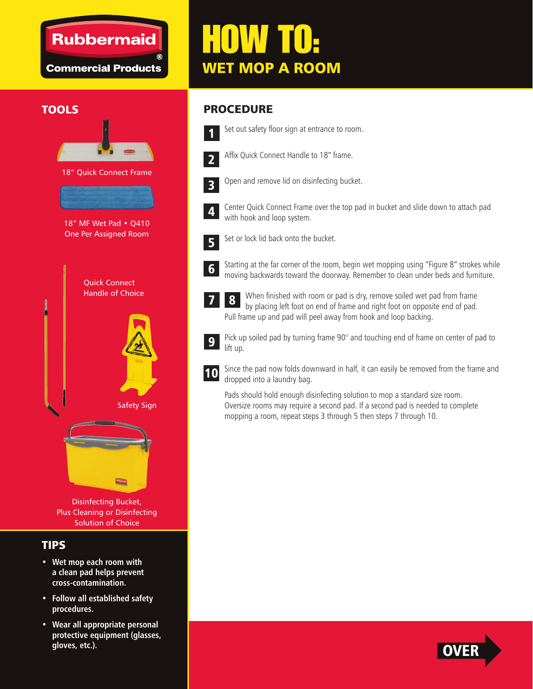### **Rubbermaid**

**Commercial Products** 

**TOOLS** 

18" Quick Connect Frame

18" MF Wet Pad • Q410 One Per Assigned Room

> Quick Connect Handle of Choice

# HOW TO: WET MOP A ROOM

#### PROCEDURE



Set out safety floor sign at entrance to room.



Affix Quick Connect Handle to 18" frame.



Open and remove lid on disinfecting bucket.



Center Quick Connect Frame over the top pad in bucket and slide down to attach pad with hook and loop system.



Set or lock lid back onto the bucket.



7

Starting at the far corner of the room, begin wet mopping using "Figure 8" strokes while moving backwards toward the doorway. Remember to clean under beds and furniture.

When finished with room or pad is dry, remove soiled wet pad from frame by placing left foot on end of frame and right foot on opposite end of pad. Pull frame up and pad will peel away from hook and loop backing. 8



Pick up soiled pad by turning frame 90° and touching end of frame on center of pad to lift up.



Since the pad now folds downward in half, it can easily be removed from the frame and dropped into a laundry bag.

Pads should hold enough disinfecting solution to mop a standard size room. Oversize rooms may require a second pad. If a second pad is needed to complete mopping a room, repeat steps 3 through 5 then steps 7 through 10.



Disinfecting Bucket, Plus Cleaning or Disinfecting Solution of Choice

#### TIPS

- **Wet mop each room with a clean pad helps prevent cross-contamination.**
- **Follow all established safety procedures.**
- **Wear all appropriate personal protective equipment (glasses, gloves, etc.).**